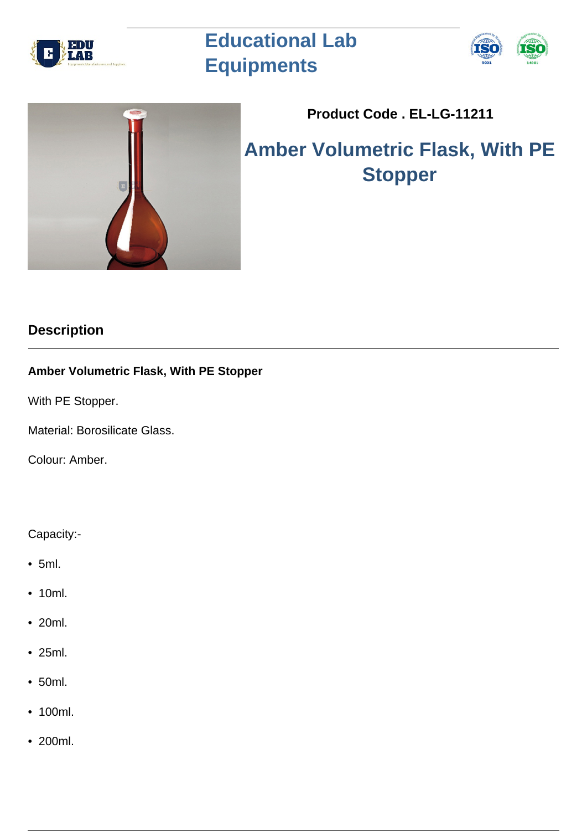

# **Educational Lab Equipments**





## **Product Code . EL-LG-11211**

## **Amber Volumetric Flask, With PE Stopper**

### **Description**

### **Amber Volumetric Flask, With PE Stopper**

With PE Stopper.

Material: Borosilicate Glass.

Colour: Amber.

#### Capacity:-

- 5ml.
- 10ml.
- 20ml.
- 25ml.
- 50ml.
- 100ml.
- 200ml.